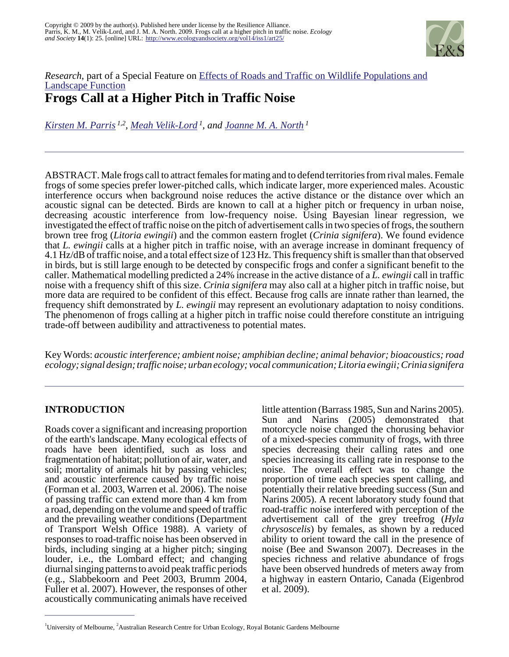

## *Research*, part of a Special Feature on [Effects of Roads and Traffic on Wildlife Populations and](http://www.ecologyandsociety.org/viewissue.php?sf=41) [Landscape Function](http://www.ecologyandsociety.org/viewissue.php?sf=41) **Frogs Call at a Higher Pitch in Traffic Noise**

*[Kirsten M. Parris](mailto:k.parris@unimelb.edu.au) 1,2 , [Meah Velik-Lord](mailto:meah@unimelb.edu.au)<sup>1</sup>, and [Joanne M. A. North](mailto:fflojjo@yahoo.com)<sup>1</sup>*

ABSTRACT. Male frogs call to attract females for mating and to defend territories from rival males. Female frogs of some species prefer lower-pitched calls, which indicate larger, more experienced males. Acoustic interference occurs when background noise reduces the active distance or the distance over which an acoustic signal can be detected. Birds are known to call at a higher pitch or frequency in urban noise, decreasing acoustic interference from low-frequency noise. Using Bayesian linear regression, we investigated the effect of traffic noise on the pitch of advertisement calls in two species of frogs, the southern brown tree frog (*Litoria ewingii*) and the common eastern froglet (*Crinia signifera*). We found evidence that *L. ewingii* calls at a higher pitch in traffic noise, with an average increase in dominant frequency of 4.1 Hz/dB of traffic noise, and a total effect size of 123 Hz. This frequency shift is smaller than that observed in birds, but is still large enough to be detected by conspecific frogs and confer a significant benefit to the caller. Mathematical modelling predicted a 24% increase in the active distance of a *L. ewingii* call in traffic noise with a frequency shift of this size. *Crinia signifera* may also call at a higher pitch in traffic noise, but more data are required to be confident of this effect. Because frog calls are innate rather than learned, the frequency shift demonstrated by *L. ewingii* may represent an evolutionary adaptation to noisy conditions. The phenomenon of frogs calling at a higher pitch in traffic noise could therefore constitute an intriguing trade-off between audibility and attractiveness to potential mates.

Key Words: *acoustic interference; ambient noise; amphibian decline; animal behavior; bioacoustics; road ecology; signal design; traffic noise; urban ecology; vocal communication; Litoria ewingii; Crinia signifera*

# **INTRODUCTION**

Roads cover a significant and increasing proportion of the earth's landscape. Many ecological effects of roads have been identified, such as loss and fragmentation of habitat; pollution of air, water, and soil; mortality of animals hit by passing vehicles; and acoustic interference caused by traffic noise (Forman et al. 2003, Warren et al. 2006). The noise of passing traffic can extend more than 4 km from a road, depending on the volume and speed of traffic and the prevailing weather conditions (Department of Transport Welsh Office 1988). A variety of responses to road-traffic noise has been observed in birds, including singing at a higher pitch; singing louder, i.e., the Lombard effect; and changing diurnal singing patterns to avoid peak traffic periods (e.g., Slabbekoorn and Peet 2003, Brumm 2004, Fuller et al. 2007). However, the responses of other acoustically communicating animals have received

little attention (Barrass 1985, Sun and Narins 2005). Sun and Narins (2005) demonstrated that motorcycle noise changed the chorusing behavior of a mixed-species community of frogs, with three species decreasing their calling rates and one species increasing its calling rate in response to the noise. The overall effect was to change the proportion of time each species spent calling, and potentially their relative breeding success (Sun and Narins 2005). A recent laboratory study found that road-traffic noise interfered with perception of the advertisement call of the grey treefrog (*Hyla chrysoscelis*) by females, as shown by a reduced ability to orient toward the call in the presence of noise (Bee and Swanson 2007). Decreases in the species richness and relative abundance of frogs have been observed hundreds of meters away from a highway in eastern Ontario, Canada (Eigenbrod et al. 2009).

<sup>1</sup>University of Melbourne, <sup>2</sup>Australian Research Centre for Urban Ecology, Royal Botanic Gardens Melbourne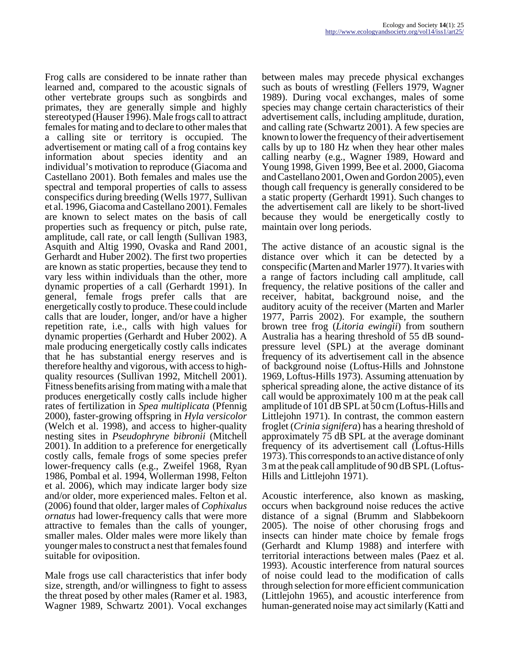Frog calls are considered to be innate rather than learned and, compared to the acoustic signals of other vertebrate groups such as songbirds and primates, they are generally simple and highly stereotyped (Hauser 1996). Male frogs call to attract females for mating and to declare to other males that a calling site or territory is occupied. The advertisement or mating call of a frog contains key information about species identity and an individual's motivation to reproduce (Giacoma and Castellano 2001). Both females and males use the spectral and temporal properties of calls to assess conspecifics during breeding (Wells 1977, Sullivan et al. 1996, Giacoma and Castellano 2001). Females are known to select mates on the basis of call properties such as frequency or pitch, pulse rate, amplitude, call rate, or call length (Sullivan 1983, Asquith and Altig 1990, Ovaska and Rand 2001, Gerhardt and Huber 2002). The first two properties are known as static properties, because they tend to vary less within individuals than the other, more dynamic properties of a call (Gerhardt 1991). In general, female frogs prefer calls that are energetically costly to produce. These could include calls that are louder, longer, and/or have a higher repetition rate, i.e., calls with high values for dynamic properties (Gerhardt and Huber 2002). A male producing energetically costly calls indicates that he has substantial energy reserves and is therefore healthy and vigorous, with access to highquality resources (Sullivan 1992, Mitchell 2001). Fitness benefits arising from mating with a male that produces energetically costly calls include higher rates of fertilization in *Spea multiplicata* (Pfennig 2000), faster-growing offspring in *Hyla versicolor* (Welch et al. 1998), and access to higher-quality nesting sites in *Pseudophryne bibronii* (Mitchell 2001). In addition to a preference for energetically costly calls, female frogs of some species prefer lower-frequency calls (e.g., Zweifel 1968, Ryan 1986, Pombal et al. 1994, Wollerman 1998, Felton et al. 2006), which may indicate larger body size and/or older, more experienced males. Felton et al. (2006) found that older, larger males of *Cophixalus ornatus* had lower-frequency calls that were more attractive to females than the calls of younger, smaller males. Older males were more likely than younger males to construct a nest that females found suitable for oviposition.

Male frogs use call characteristics that infer body size, strength, and/or willingness to fight to assess the threat posed by other males (Ramer et al. 1983, Wagner 1989, Schwartz 2001). Vocal exchanges between males may precede physical exchanges such as bouts of wrestling (Fellers 1979, Wagner 1989). During vocal exchanges, males of some species may change certain characteristics of their advertisement calls, including amplitude, duration, and calling rate (Schwartz 2001). A few species are known to lower the frequency of their advertisement calls by up to 180 Hz when they hear other males calling nearby (e.g., Wagner 1989, Howard and Young 1998, Given 1999, Bee et al. 2000, Giacoma and Castellano 2001, Owen and Gordon 2005), even though call frequency is generally considered to be a static property (Gerhardt 1991). Such changes to the advertisement call are likely to be short-lived because they would be energetically costly to maintain over long periods.

The active distance of an acoustic signal is the distance over which it can be detected by a conspecific (Marten and Marler 1977). It varies with a range of factors including call amplitude, call frequency, the relative positions of the caller and receiver, habitat, background noise, and the auditory acuity of the receiver (Marten and Marler 1977, Parris 2002). For example, the southern brown tree frog (*Litoria ewingii*) from southern Australia has a hearing threshold of 55 dB soundpressure level (SPL) at the average dominant frequency of its advertisement call in the absence of background noise (Loftus-Hills and Johnstone 1969, Loftus-Hills 1973). Assuming attenuation by spherical spreading alone, the active distance of its call would be approximately 100 m at the peak call amplitude of 101 dB SPL at 50 cm (Loftus-Hills and Littlejohn 1971). In contrast, the common eastern froglet (*Crinia signifera*) has a hearing threshold of approximately 75 dB SPL at the average dominant frequency of its advertisement call (Loftus-Hills 1973). This corresponds to an active distance of only 3 m at the peak call amplitude of 90 dB SPL (Loftus-Hills and Littlejohn 1971).

Acoustic interference, also known as masking, occurs when background noise reduces the active distance of a signal (Brumm and Slabbekoorn 2005). The noise of other chorusing frogs and insects can hinder mate choice by female frogs (Gerhardt and Klump 1988) and interfere with territorial interactions between males (Paez et al. 1993). Acoustic interference from natural sources of noise could lead to the modification of calls through selection for more efficient communication (Littlejohn 1965), and acoustic interference from human-generated noise may act similarly (Katti and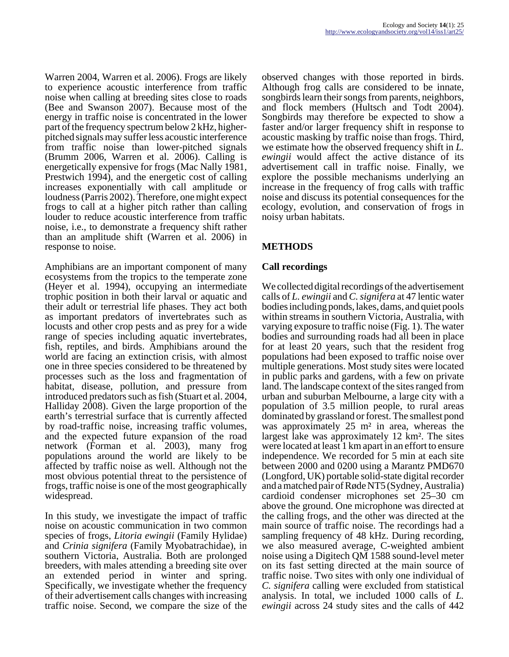Warren 2004, Warren et al. 2006). Frogs are likely to experience acoustic interference from traffic noise when calling at breeding sites close to roads (Bee and Swanson 2007). Because most of the energy in traffic noise is concentrated in the lower part of the frequency spectrum below 2 kHz, higherpitched signals may suffer less acoustic interference from traffic noise than lower-pitched signals (Brumm 2006, Warren et al. 2006). Calling is energetically expensive for frogs (Mac Nally 1981, Prestwich 1994), and the energetic cost of calling increases exponentially with call amplitude or loudness (Parris 2002). Therefore, one might expect frogs to call at a higher pitch rather than calling louder to reduce acoustic interference from traffic noise, i.e., to demonstrate a frequency shift rather than an amplitude shift (Warren et al. 2006) in response to noise.

Amphibians are an important component of many ecosystems from the tropics to the temperate zone (Heyer et al. 1994), occupying an intermediate trophic position in both their larval or aquatic and their adult or terrestrial life phases. They act both as important predators of invertebrates such as locusts and other crop pests and as prey for a wide range of species including aquatic invertebrates, fish, reptiles, and birds. Amphibians around the world are facing an extinction crisis, with almost one in three species considered to be threatened by processes such as the loss and fragmentation of habitat, disease, pollution, and pressure from introduced predators such as fish (Stuart et al. 2004, Halliday 2008). Given the large proportion of the earth's terrestrial surface that is currently affected by road-traffic noise, increasing traffic volumes, and the expected future expansion of the road network (Forman et al. 2003), many frog populations around the world are likely to be affected by traffic noise as well. Although not the most obvious potential threat to the persistence of frogs, traffic noise is one of the most geographically widespread.

In this study, we investigate the impact of traffic noise on acoustic communication in two common species of frogs, *Litoria ewingii* (Family Hylidae) and *Crinia signifera* (Family Myobatrachidae), in southern Victoria, Australia. Both are prolonged breeders, with males attending a breeding site over an extended period in winter and spring. Specifically, we investigate whether the frequency of their advertisement calls changes with increasing traffic noise. Second, we compare the size of the

observed changes with those reported in birds. Although frog calls are considered to be innate, songbirds learn their songs from parents, neighbors, and flock members (Hultsch and Todt 2004). Songbirds may therefore be expected to show a faster and/or larger frequency shift in response to acoustic masking by traffic noise than frogs. Third, we estimate how the observed frequency shift in *L. ewingii* would affect the active distance of its advertisement call in traffic noise. Finally, we explore the possible mechanisms underlying an increase in the frequency of frog calls with traffic noise and discuss its potential consequences for the ecology, evolution, and conservation of frogs in noisy urban habitats.

## **METHODS**

## **Call recordings**

We collected digital recordings of the advertisement calls of *L. ewingii* and *C. signifera* at 47 lentic water bodies including ponds, lakes, dams, and quiet pools within streams in southern Victoria, Australia, with varying exposure to traffic noise (Fig. 1). The water bodies and surrounding roads had all been in place for at least 20 years, such that the resident frog populations had been exposed to traffic noise over multiple generations. Most study sites were located in public parks and gardens, with a few on private land. The landscape context of the sites ranged from urban and suburban Melbourne, a large city with a population of 3.5 million people, to rural areas dominated by grassland or forest. The smallest pond was approximately 25 m<sup>2</sup> in area, whereas the largest lake was approximately 12 km². The sites were located at least 1 km apart in an effort to ensure independence. We recorded for 5 min at each site between 2000 and 0200 using a Marantz PMD670 (Longford, UK) portable solid-state digital recorder and a matched pair of Røde NT5 (Sydney, Australia) cardioid condenser microphones set 25–30 cm above the ground. One microphone was directed at the calling frogs, and the other was directed at the main source of traffic noise. The recordings had a sampling frequency of 48 kHz. During recording, we also measured average, C-weighted ambient noise using a Digitech QM 1588 sound-level meter on its fast setting directed at the main source of traffic noise. Two sites with only one individual of *C. signifera* calling were excluded from statistical analysis. In total, we included 1000 calls of *L. ewingii* across 24 study sites and the calls of 442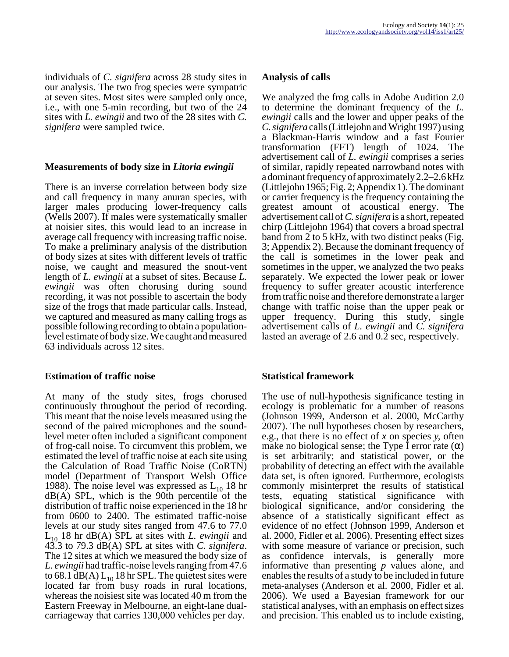individuals of *C. signifera* across 28 study sites in our analysis. The two frog species were sympatric at seven sites. Most sites were sampled only once, i.e., with one 5-min recording, but two of the 24 sites with *L. ewingii* and two of the 28 sites with *C. signifera* were sampled twice.

### **Measurements of body size in** *Litoria ewingii*

There is an inverse correlation between body size and call frequency in many anuran species, with larger males producing lower-frequency calls (Wells 2007). If males were systematically smaller at noisier sites, this would lead to an increase in average call frequency with increasing traffic noise. To make a preliminary analysis of the distribution of body sizes at sites with different levels of traffic noise, we caught and measured the snout-vent length of *L. ewingii* at a subset of sites. Because *L. ewingii* was often chorusing during sound recording, it was not possible to ascertain the body size of the frogs that made particular calls. Instead, we captured and measured as many calling frogs as possible following recording to obtain a populationlevel estimate of body size. We caught and measured 63 individuals across 12 sites.

## **Estimation of traffic noise**

At many of the study sites, frogs chorused continuously throughout the period of recording. This meant that the noise levels measured using the second of the paired microphones and the soundlevel meter often included a significant component of frog-call noise. To circumvent this problem, we estimated the level of traffic noise at each site using the Calculation of Road Traffic Noise (CoRTN) model (Department of Transport Welsh Office 1988). The noise level was expressed as  $L_{10}$  18 hr dB(A) SPL, which is the 90th percentile of the distribution of traffic noise experienced in the 18 hr from 0600 to 2400. The estimated traffic-noise levels at our study sites ranged from 47.6 to 77.0  $L_{10}$  18 hr dB(A) SPL at sites with *L. ewingii* and 43.3 to 79.3 dB(A) SPL at sites with *C. signifera*. The 12 sites at which we measured the body size of *L. ewingii* had traffic-noise levels ranging from 47.6 to 68.1 dB(A)  $L_{10}$  18 hr SPL. The quietest sites were located far from busy roads in rural locations, whereas the noisiest site was located 40 m from the Eastern Freeway in Melbourne, an eight-lane dualcarriageway that carries 130,000 vehicles per day.

## **Analysis of calls**

We analyzed the frog calls in Adobe Audition 2.0 to determine the dominant frequency of the *L. ewingii* calls and the lower and upper peaks of the *C. signifera* calls (Littlejohn and Wright 1997) using a Blackman-Harris window and a fast Fourier transformation (FFT) length of 1024. The advertisement call of *L. ewingii* comprises a series of similar, rapidly repeated narrowband notes with a dominant frequency of approximately 2.2–2.6 kHz (Littlejohn 1965; Fig. 2; Appendix 1). The dominant or carrier frequency is the frequency containing the greatest amount of acoustical energy. The advertisement call of *C. signifera* is a short, repeated chirp (Littlejohn 1964) that covers a broad spectral band from 2 to 5 kHz, with two distinct peaks (Fig. 3; Appendix 2). Because the dominant frequency of the call is sometimes in the lower peak and sometimes in the upper, we analyzed the two peaks separately. We expected the lower peak or lower frequency to suffer greater acoustic interference from traffic noise and therefore demonstrate a larger change with traffic noise than the upper peak or upper frequency. During this study, single advertisement calls of *L. ewingii* and *C. signifera* lasted an average of 2.6 and 0.2 sec, respectively.

## **Statistical framework**

The use of null-hypothesis significance testing in ecology is problematic for a number of reasons (Johnson 1999, Anderson et al. 2000, McCarthy 2007). The null hypotheses chosen by researchers, e.g., that there is no effect of *x* on species *y,* often make no biological sense; the Type I error rate  $(\alpha)$ is set arbitrarily; and statistical power, or the probability of detecting an effect with the available data set, is often ignored. Furthermore, ecologists commonly misinterpret the results of statistical tests, equating statistical significance with biological significance, and/or considering the absence of a statistically significant effect as evidence of no effect (Johnson 1999, Anderson et al. 2000, Fidler et al. 2006). Presenting effect sizes with some measure of variance or precision, such as confidence intervals, is generally more informative than presenting *p* values alone, and enables the results of a study to be included in future meta-analyses (Anderson et al. 2000, Fidler et al. 2006). We used a Bayesian framework for our statistical analyses, with an emphasis on effect sizes and precision. This enabled us to include existing,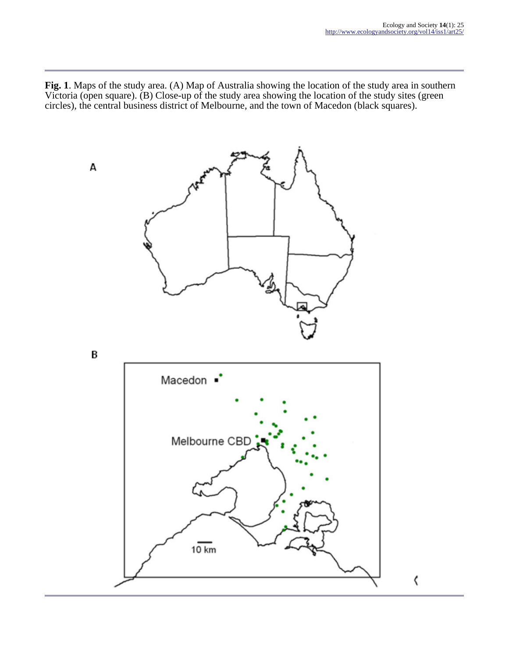**Fig. 1**. Maps of the study area. (A) Map of Australia showing the location of the study area in southern Victoria (open square). (B) Close-up of the study area showing the location of the study sites (green circles), the central business district of Melbourne, and the town of Macedon (black squares).



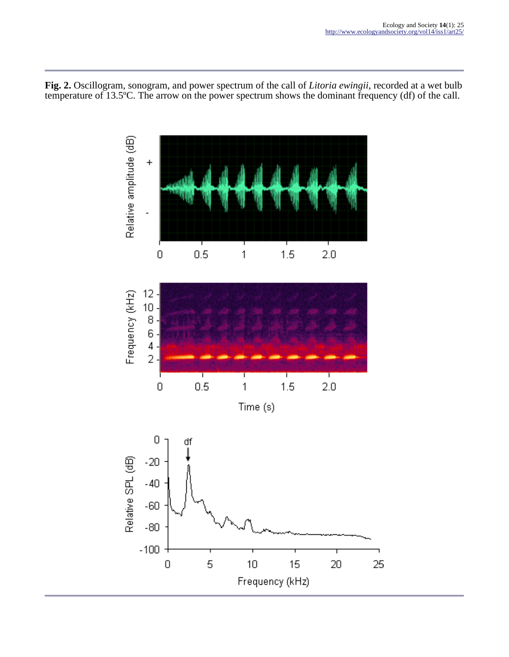**Fig. 2.** Oscillogram, sonogram, and power spectrum of the call of *Litoria ewingii,* recorded at a wet bulb temperature of 13.5ºC. The arrow on the power spectrum shows the dominant frequency (df) of the call.

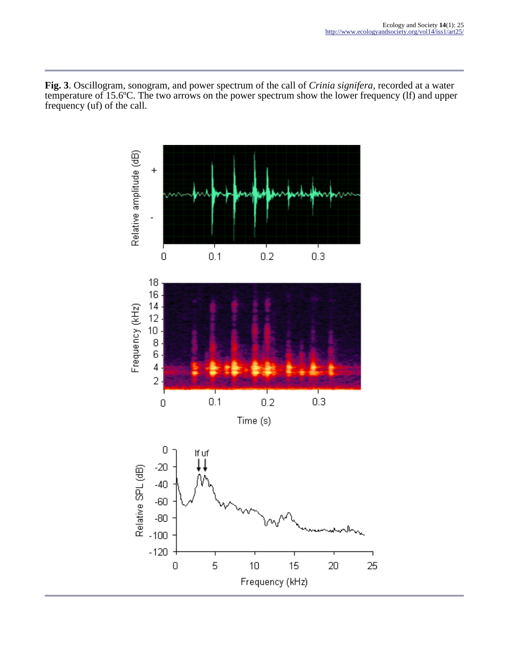**Fig. 3**. Oscillogram, sonogram, and power spectrum of the call of *Crinia signifera,* recorded at a water temperature of 15.6ºC. The two arrows on the power spectrum show the lower frequency (lf) and upper frequency (uf) of the call.

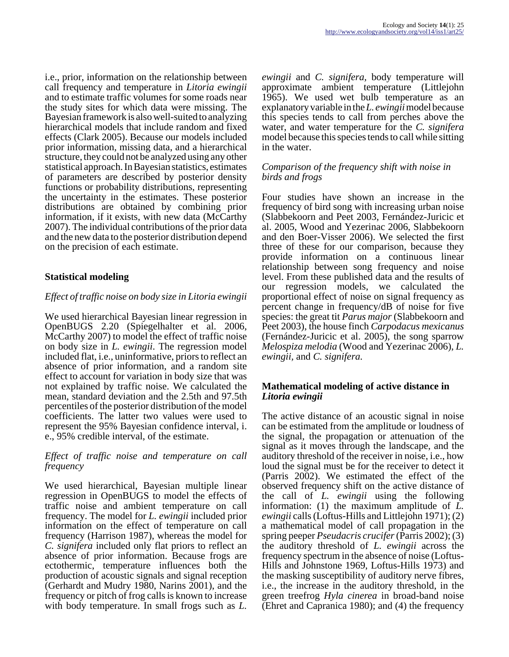i.e., prior, information on the relationship between call frequency and temperature in *Litoria ewingii* and to estimate traffic volumes for some roads near the study sites for which data were missing. The Bayesian framework is also well-suited to analyzing hierarchical models that include random and fixed effects (Clark 2005). Because our models included prior information, missing data, and a hierarchical structure, they could not be analyzed using any other statistical approach. In Bayesian statistics, estimates of parameters are described by posterior density functions or probability distributions, representing the uncertainty in the estimates. These posterior distributions are obtained by combining prior information, if it exists, with new data (McCarthy 2007). The individual contributions of the prior data and the new data to the posterior distribution depend on the precision of each estimate.

## **Statistical modeling**

## *Effect of traffic noise on body size in Litoria ewingii*

We used hierarchical Bayesian linear regression in OpenBUGS 2.20 (Spiegelhalter et al. 2006, McCarthy 2007) to model the effect of traffic noise on body size in *L. ewingii*. The regression model included flat, i.e., uninformative, priors to reflect an absence of prior information, and a random site effect to account for variation in body size that was not explained by traffic noise. We calculated the mean, standard deviation and the 2.5th and 97.5th percentiles of the posterior distribution of the model coefficients. The latter two values were used to represent the 95% Bayesian confidence interval, i. e., 95% credible interval, of the estimate.

### *Effect of traffic noise and temperature on call frequency*

We used hierarchical, Bayesian multiple linear regression in OpenBUGS to model the effects of traffic noise and ambient temperature on call frequency. The model for *L. ewingii* included prior information on the effect of temperature on call frequency (Harrison 1987), whereas the model for *C. signifera* included only flat priors to reflect an absence of prior information. Because frogs are ectothermic, temperature influences both the production of acoustic signals and signal reception (Gerhardt and Mudry 1980, Narins 2001), and the frequency or pitch of frog calls is known to increase with body temperature. In small frogs such as *L.*

*ewingii* and *C. signifera,* body temperature will approximate ambient temperature (Littlejohn 1965). We used wet bulb temperature as an explanatory variable in the *L. ewingii* model because this species tends to call from perches above the water, and water temperature for the *C. signifera* model because this species tends to call while sitting in the water.

#### *Comparison of the frequency shift with noise in birds and frogs*

Four studies have shown an increase in the frequency of bird song with increasing urban noise (Slabbekoorn and Peet 2003, Fernández-Juricic et al. 2005, Wood and Yezerinac 2006, Slabbekoorn and den Boer-Visser 2006). We selected the first three of these for our comparison, because they provide information on a continuous linear relationship between song frequency and noise level. From these published data and the results of our regression models, we calculated the proportional effect of noise on signal frequency as percent change in frequency/dB of noise for five species: the great tit *Parus major* (Slabbekoorn and Peet 2003), the house finch *Carpodacus mexicanus* (Fernández-Juricic et al. 2005), the song sparrow *Melospiza melodia* (Wood and Yezerinac 2006), *L. ewingii,* and *C. signifera.*

### **Mathematical modeling of active distance in** *Litoria ewingii*

The active distance of an acoustic signal in noise can be estimated from the amplitude or loudness of the signal, the propagation or attenuation of the signal as it moves through the landscape, and the auditory threshold of the receiver in noise, i.e., how loud the signal must be for the receiver to detect it (Parris 2002). We estimated the effect of the observed frequency shift on the active distance of the call of *L. ewingii* using the following information: (1) the maximum amplitude of *L. ewingii* calls (Loftus-Hills and Littlejohn 1971); (2) a mathematical model of call propagation in the spring peeper *Pseudacris crucifer* (Parris 2002); (3) the auditory threshold of *L. ewingii* across the frequency spectrum in the absence of noise (Loftus-Hills and Johnstone 1969, Loftus-Hills 1973) and the masking susceptibility of auditory nerve fibres, i.e., the increase in the auditory threshold, in the green treefrog *Hyla cinerea* in broad-band noise (Ehret and Capranica 1980); and (4) the frequency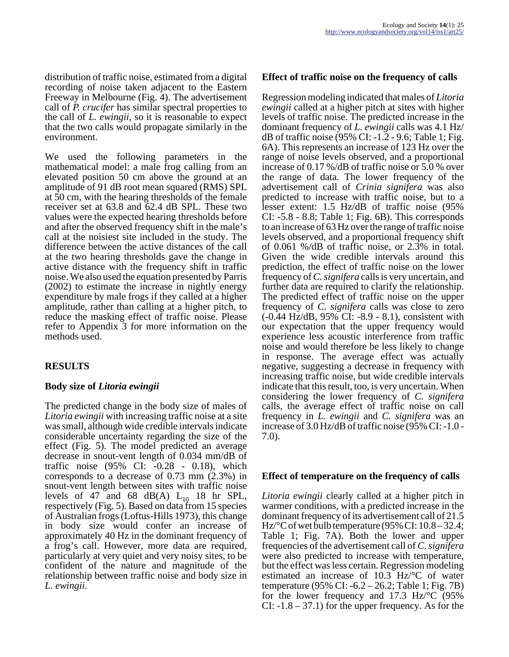distribution of traffic noise, estimated from a digital recording of noise taken adjacent to the Eastern Freeway in Melbourne (Fig. 4). The advertisement call of *P. crucifer* has similar spectral properties to the call of *L. ewingii,* so it is reasonable to expect that the two calls would propagate similarly in the environment.

We used the following parameters in the mathematical model: a male frog calling from an elevated position 50 cm above the ground at an amplitude of 91 dB root mean squared (RMS) SPL at 50 cm, with the hearing thresholds of the female receiver set at 63.8 and 62.4 dB SPL. These two values were the expected hearing thresholds before and after the observed frequency shift in the male's call at the noisiest site included in the study. The difference between the active distances of the call at the two hearing thresholds gave the change in active distance with the frequency shift in traffic noise. We also used the equation presented by Parris (2002) to estimate the increase in nightly energy expenditure by male frogs if they called at a higher amplitude, rather than calling at a higher pitch, to reduce the masking effect of traffic noise. Please refer to Appendix 3 for more information on the methods used.

# **RESULTS**

# **Body size of** *Litoria ewingii*

The predicted change in the body size of males of *Litoria ewingii* with increasing traffic noise at a site was small, although wide credible intervals indicate considerable uncertainty regarding the size of the effect (Fig. 5). The model predicted an average decrease in snout-vent length of 0.034 mm/dB of traffic noise (95% CI: -0.28 - 0.18), which corresponds to a decrease of 0.73 mm (2.3%) in snout-vent length between sites with traffic noise levels of 47 and 68 dB(A)  $L_{10}$  18 hr SPL, respectively (Fig. 5). Based on data from 15 species of Australian frogs (Loftus-Hills 1973), this change in body size would confer an increase of approximately 40 Hz in the dominant frequency of a frog's call. However, more data are required, particularly at very quiet and very noisy sites, to be confident of the nature and magnitude of the relationship between traffic noise and body size in *L. ewingii*.

## **Effect of traffic noise on the frequency of calls**

Regression modeling indicated that males of *Litoria ewingii* called at a higher pitch at sites with higher levels of traffic noise. The predicted increase in the dominant frequency of *L. ewingii* calls was 4.1 Hz/ dB of traffic noise (95% CI: -1.2 - 9.6; Table 1; Fig. 6A). This represents an increase of 123 Hz over the range of noise levels observed, and a proportional increase of 0.17 %/dB of traffic noise or 5.0 % over the range of data. The lower frequency of the advertisement call of *Crinia signifera* was also predicted to increase with traffic noise, but to a lesser extent: 1.5 Hz/dB of traffic noise (95% CI: -5.8 - 8.8; Table 1; Fig. 6B). This corresponds to an increase of 63 Hz over the range of traffic noise levels observed, and a proportional frequency shift of 0.061 %/dB of traffic noise, or 2.3% in total. Given the wide credible intervals around this prediction, the effect of traffic noise on the lower frequency of *C. signifera* calls is very uncertain, and further data are required to clarify the relationship. The predicted effect of traffic noise on the upper frequency of *C. signifera* calls was close to zero (-0.44 Hz/dB, 95% CI: -8.9 - 8.1), consistent with our expectation that the upper frequency would experience less acoustic interference from traffic noise and would therefore be less likely to change in response. The average effect was actually negative, suggesting a decrease in frequency with increasing traffic noise, but wide credible intervals indicate that this result, too, is very uncertain. When considering the lower frequency of *C. signifera* calls, the average effect of traffic noise on call frequency in *L. ewingii* and *C. signifera* was an increase of 3.0 Hz/dB of traffic noise (95% CI: -1.0 - 7.0).

## **Effect of temperature on the frequency of calls**

*Litoria ewingii* clearly called at a higher pitch in warmer conditions, with a predicted increase in the dominant frequency of its advertisement call of 21.5  $Hz$ <sup>o</sup>C of wet bulb temperature (95% CI: 10.8 – 32.4; Table 1; Fig. 7A). Both the lower and upper frequencies of the advertisement call of *C. signifera* were also predicted to increase with temperature, but the effect was less certain. Regression modeling estimated an increase of 10.3 Hz/°C of water temperature (95% CI: -6.2 – 26.2; Table 1; Fig. 7B) for the lower frequency and 17.3 Hz/°C (95% CI:  $-1.8 - 37.1$ ) for the upper frequency. As for the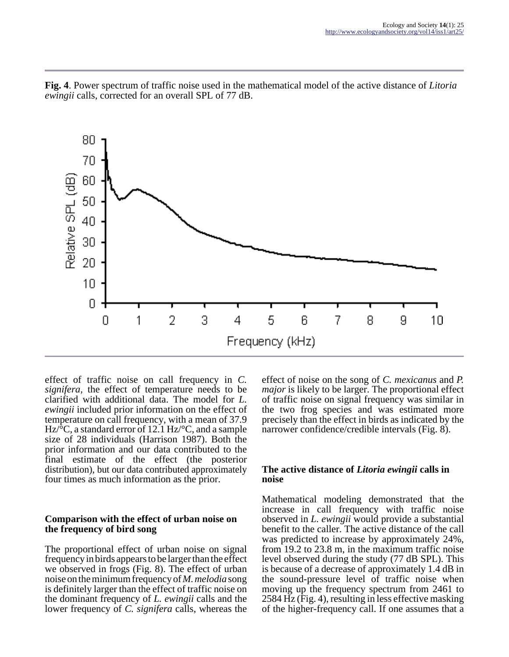**Fig. 4**. Power spectrum of traffic noise used in the mathematical model of the active distance of *Litoria ewingii* calls, corrected for an overall SPL of 77 dB.



effect of traffic noise on call frequency in *C. signifera,* the effect of temperature needs to be clarified with additional data. The model for *L. ewingii* included prior information on the effect of temperature on call frequency, with a mean of 37.9  $Hz$ <sup> $\overline{O}$ </sup>C, a standard error of 12.1 Hz $\overline{O}$ C, and a sample size of 28 individuals (Harrison 1987). Both the prior information and our data contributed to the final estimate of the effect (the posterior distribution), but our data contributed approximately four times as much information as the prior.

#### **Comparison with the effect of urban noise on the frequency of bird song**

The proportional effect of urban noise on signal frequency in birds appears to be larger than the effect we observed in frogs (Fig. 8). The effect of urban noise on the minimum frequency of *M. melodia* song is definitely larger than the effect of traffic noise on the dominant frequency of *L. ewingii* calls and the lower frequency of *C. signifera* calls, whereas the

effect of noise on the song of *C. mexicanus* and *P. major* is likely to be larger. The proportional effect of traffic noise on signal frequency was similar in the two frog species and was estimated more precisely than the effect in birds as indicated by the narrower confidence/credible intervals (Fig. 8).

## **The active distance of** *Litoria ewingii* **calls in noise**

Mathematical modeling demonstrated that the increase in call frequency with traffic noise observed in *L. ewingii* would provide a substantial benefit to the caller. The active distance of the call was predicted to increase by approximately 24%, from 19.2 to 23.8 m, in the maximum traffic noise level observed during the study (77 dB SPL). This is because of a decrease of approximately 1.4 dB in the sound-pressure level of traffic noise when moving up the frequency spectrum from 2461 to 2584 Hz (Fig. 4), resulting in less effective masking of the higher-frequency call. If one assumes that a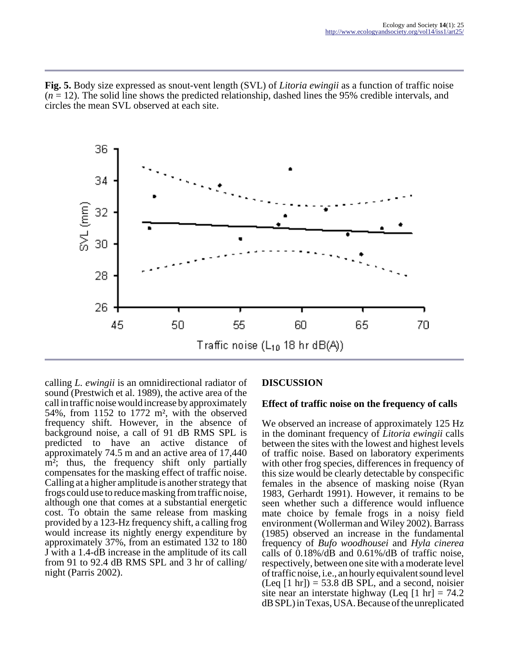**Fig. 5.** Body size expressed as snout-vent length (SVL) of *Litoria ewingii* as a function of traffic noise (*n* = 12). The solid line shows the predicted relationship, dashed lines the 95% credible intervals, and circles the mean SVL observed at each site.



calling *L. ewingii* is an omnidirectional radiator of sound (Prestwich et al. 1989), the active area of the call in traffic noise would increase by approximately 54%, from 1152 to 1772 m², with the observed frequency shift. However, in the absence of background noise, a call of 91 dB RMS SPL is predicted to have an active distance of approximately 74.5 m and an active area of 17,440 m²; thus, the frequency shift only partially compensates for the masking effect of traffic noise. Calling at a higher amplitude is another strategy that frogs could use to reduce masking from traffic noise, although one that comes at a substantial energetic cost. To obtain the same release from masking provided by a 123-Hz frequency shift, a calling frog would increase its nightly energy expenditure by approximately 37%, from an estimated 132 to 180 J with a 1.4-dB increase in the amplitude of its call from 91 to 92.4 dB RMS SPL and 3 hr of calling/ night (Parris 2002).

# **DISCUSSION**

#### **Effect of traffic noise on the frequency of calls**

We observed an increase of approximately 125 Hz in the dominant frequency of *Litoria ewingii* calls between the sites with the lowest and highest levels of traffic noise. Based on laboratory experiments with other frog species, differences in frequency of this size would be clearly detectable by conspecific females in the absence of masking noise (Ryan 1983, Gerhardt 1991). However, it remains to be seen whether such a difference would influence mate choice by female frogs in a noisy field environment (Wollerman and Wiley 2002). Barrass (1985) observed an increase in the fundamental frequency of *Bufo woodhousei* and *Hyla cinerea* calls of 0.18%/dB and 0.61%/dB of traffic noise, respectively, between one site with a moderate level of traffic noise, i.e., an hourly equivalent sound level  $($ Leq  $[1 \text{ hr}]$ ) = 53.8 dB SPL, and a second, noisier site near an interstate highway (Leq  $[1 \text{ hr}] = 74.2$ dB SPL) in Texas, USA. Because of the unreplicated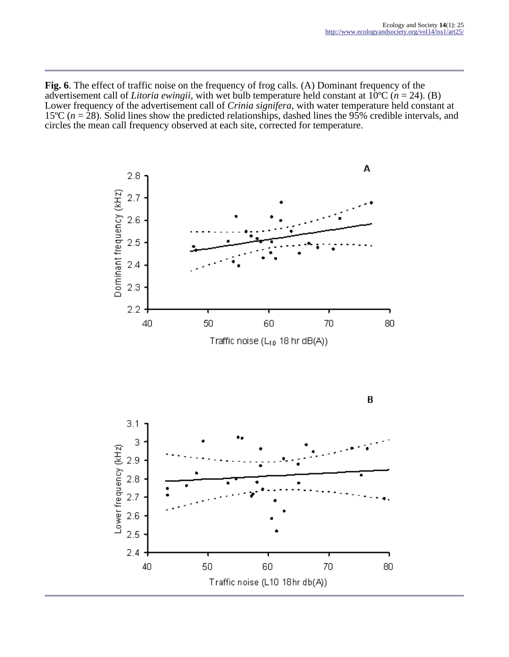**Fig. 6**. The effect of traffic noise on the frequency of frog calls. (A) Dominant frequency of the advertisement call of *Litoria ewingii*, with wet bulb temperature held constant at  $10^{\circ}C$  ( $n = 24$ ). (B) Lower frequency of the advertisement call of *Crinia signifera,* with water temperature held constant at 15<sup>o</sup>C ( $n = 28$ ). Solid lines show the predicted relationships, dashed lines the 95% credible intervals, and circles the mean call frequency observed at each site, corrected for temperature.

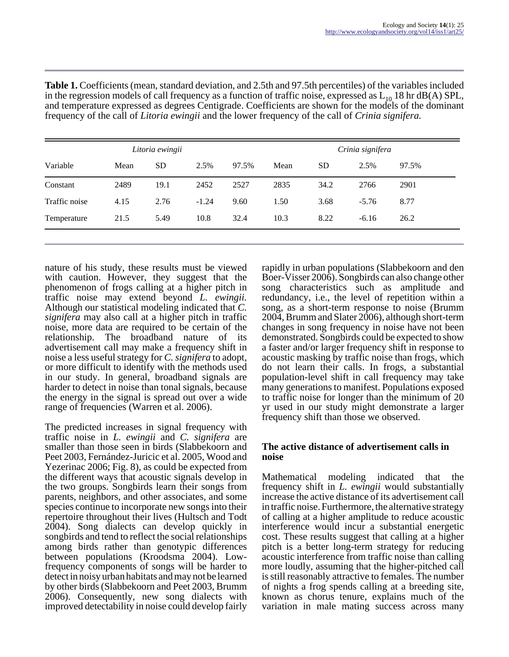|               | Litoria ewingii |           |         |       | Crinia signifera |           |         |       |
|---------------|-----------------|-----------|---------|-------|------------------|-----------|---------|-------|
| Variable      | Mean            | <b>SD</b> | 2.5%    | 97.5% | Mean             | <b>SD</b> | 2.5%    | 97.5% |
| Constant      | 2489            | 19.1      | 2452    | 2527  | 2835             | 34.2      | 2766    | 2901  |
| Traffic noise | 4.15            | 2.76      | $-1.24$ | 9.60  | 1.50             | 3.68      | $-5.76$ | 8.77  |
| Temperature   | 21.5            | 5.49      | 10.8    | 32.4  | 10.3             | 8.22      | $-6.16$ | 26.2  |

**Table 1.** Coefficients (mean, standard deviation, and 2.5th and 97.5th percentiles) of the variables included in the regression models of call frequency as a function of traffic noise, expressed as  $L_{10}$  18 hr dB(A) SPL, and temperature expressed as degrees Centigrade. Coefficients are shown for the models of the dominant frequency of the call of *Litoria ewingii* and the lower frequency of the call of *Crinia signifera.*

nature of his study, these results must be viewed with caution. However, they suggest that the phenomenon of frogs calling at a higher pitch in traffic noise may extend beyond *L. ewingii.* Although our statistical modeling indicated that *C. signifera* may also call at a higher pitch in traffic noise, more data are required to be certain of the relationship. The broadband nature of its advertisement call may make a frequency shift in noise a less useful strategy for *C. signifera* to adopt, or more difficult to identify with the methods used in our study. In general, broadband signals are harder to detect in noise than tonal signals, because the energy in the signal is spread out over a wide range of frequencies (Warren et al. 2006).

The predicted increases in signal frequency with traffic noise in *L. ewingii* and *C. signifera* are smaller than those seen in birds (Slabbekoorn and Peet 2003, Fernández-Juricic et al. 2005, Wood and Yezerinac 2006; Fig. 8), as could be expected from the different ways that acoustic signals develop in the two groups. Songbirds learn their songs from parents, neighbors, and other associates, and some species continue to incorporate new songs into their repertoire throughout their lives (Hultsch and Todt 2004). Song dialects can develop quickly in songbirds and tend to reflect the social relationships among birds rather than genotypic differences between populations (Kroodsma 2004). Lowfrequency components of songs will be harder to detect in noisy urban habitats and may not be learned by other birds (Slabbekoorn and Peet 2003, Brumm 2006). Consequently, new song dialects with improved detectability in noise could develop fairly

rapidly in urban populations (Slabbekoorn and den Boer-Visser 2006). Songbirds can also change other song characteristics such as amplitude and redundancy, i.e., the level of repetition within a song, as a short-term response to noise (Brumm 2004, Brumm and Slater 2006), although short-term changes in song frequency in noise have not been demonstrated. Songbirds could be expected to show a faster and/or larger frequency shift in response to acoustic masking by traffic noise than frogs, which do not learn their calls. In frogs, a substantial population-level shift in call frequency may take many generations to manifest. Populations exposed to traffic noise for longer than the minimum of 20 yr used in our study might demonstrate a larger frequency shift than those we observed.

### **The active distance of advertisement calls in noise**

Mathematical modeling indicated that the frequency shift in *L. ewingii* would substantially increase the active distance of its advertisement call in traffic noise. Furthermore, the alternative strategy of calling at a higher amplitude to reduce acoustic interference would incur a substantial energetic cost. These results suggest that calling at a higher pitch is a better long-term strategy for reducing acoustic interference from traffic noise than calling more loudly, assuming that the higher-pitched call is still reasonably attractive to females. The number of nights a frog spends calling at a breeding site, known as chorus tenure, explains much of the variation in male mating success across many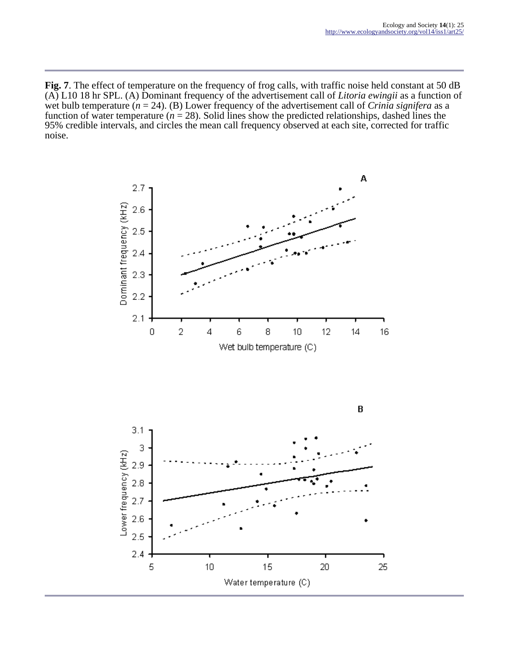**Fig. 7**. The effect of temperature on the frequency of frog calls, with traffic noise held constant at 50 dB (A) L10 18 hr SPL. (A) Dominant frequency of the advertisement call of *Litoria ewingii* as a function of wet bulb temperature (*n* = 24). (B) Lower frequency of the advertisement call of *Crinia signifera* as a function of water temperature  $(n = 28)$ . Solid lines show the predicted relationships, dashed lines the 95% credible intervals, and circles the mean call frequency observed at each site, corrected for traffic noise.

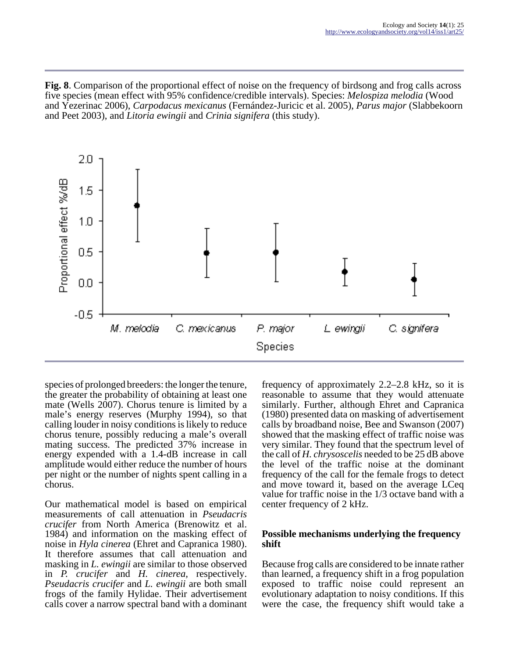**Fig. 8**. Comparison of the proportional effect of noise on the frequency of birdsong and frog calls across five species (mean effect with 95% confidence/credible intervals). Species: *Melospiza melodia* (Wood and Yezerinac 2006), *Carpodacus mexicanus* (Fernández-Juricic et al. 2005), *Parus major* (Slabbekoorn and Peet 2003), and *Litoria ewingii* and *Crinia signifera* (this study).



species of prolonged breeders: the longer the tenure, the greater the probability of obtaining at least one mate (Wells 2007). Chorus tenure is limited by a male's energy reserves (Murphy 1994), so that calling louder in noisy conditions is likely to reduce chorus tenure, possibly reducing a male's overall mating success. The predicted 37% increase in energy expended with a 1.4-dB increase in call amplitude would either reduce the number of hours per night or the number of nights spent calling in a chorus.

Our mathematical model is based on empirical measurements of call attenuation in *Pseudacris crucifer* from North America (Brenowitz et al. 1984) and information on the masking effect of noise in *Hyla cinerea* (Ehret and Capranica 1980). It therefore assumes that call attenuation and masking in *L. ewingii* are similar to those observed in *P. crucifer* and *H. cinerea,* respectively. *Pseudacris crucifer* and *L. ewingii* are both small frogs of the family Hylidae. Their advertisement calls cover a narrow spectral band with a dominant

frequency of approximately 2.2–2.8 kHz, so it is reasonable to assume that they would attenuate similarly. Further, although Ehret and Capranica (1980) presented data on masking of advertisement calls by broadband noise, Bee and Swanson (2007) showed that the masking effect of traffic noise was very similar. They found that the spectrum level of the call of *H. chrysoscelis* needed to be 25 dB above the level of the traffic noise at the dominant frequency of the call for the female frogs to detect and move toward it, based on the average LCeq value for traffic noise in the 1/3 octave band with a center frequency of 2 kHz.

### **Possible mechanisms underlying the frequency shift**

Because frog calls are considered to be innate rather than learned, a frequency shift in a frog population exposed to traffic noise could represent an evolutionary adaptation to noisy conditions. If this were the case, the frequency shift would take a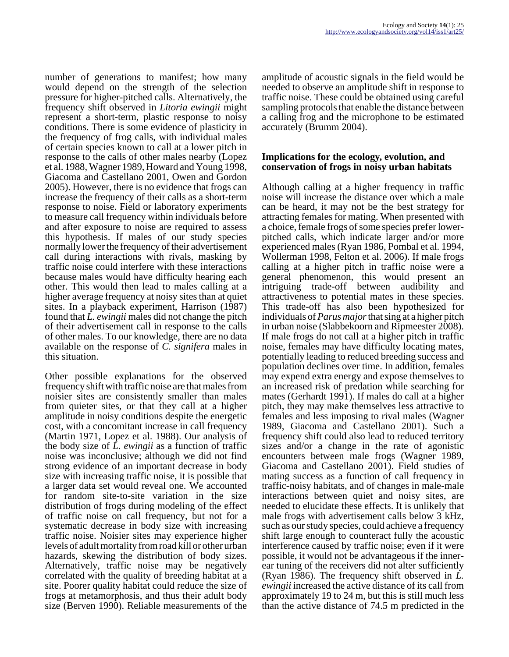number of generations to manifest; how many would depend on the strength of the selection pressure for higher-pitched calls. Alternatively, the frequency shift observed in *Litoria ewingii* might represent a short-term, plastic response to noisy conditions. There is some evidence of plasticity in the frequency of frog calls, with individual males of certain species known to call at a lower pitch in response to the calls of other males nearby (Lopez et al. 1988, Wagner 1989, Howard and Young 1998, Giacoma and Castellano 2001, Owen and Gordon 2005). However, there is no evidence that frogs can increase the frequency of their calls as a short-term response to noise. Field or laboratory experiments to measure call frequency within individuals before and after exposure to noise are required to assess this hypothesis. If males of our study species normally lower the frequency of their advertisement call during interactions with rivals, masking by traffic noise could interfere with these interactions because males would have difficulty hearing each other. This would then lead to males calling at a higher average frequency at noisy sites than at quiet sites. In a playback experiment, Harrison (1987) found that *L. ewingii* males did not change the pitch of their advertisement call in response to the calls of other males. To our knowledge, there are no data available on the response of *C. signifera* males in this situation.

Other possible explanations for the observed frequency shift with traffic noise are that males from noisier sites are consistently smaller than males from quieter sites, or that they call at a higher amplitude in noisy conditions despite the energetic cost, with a concomitant increase in call frequency (Martin 1971, Lopez et al. 1988). Our analysis of the body size of *L. ewingii* as a function of traffic noise was inconclusive; although we did not find strong evidence of an important decrease in body size with increasing traffic noise, it is possible that a larger data set would reveal one. We accounted for random site-to-site variation in the size distribution of frogs during modeling of the effect of traffic noise on call frequency, but not for a systematic decrease in body size with increasing traffic noise. Noisier sites may experience higher levels of adult mortality from road kill or other urban hazards, skewing the distribution of body sizes. Alternatively, traffic noise may be negatively correlated with the quality of breeding habitat at a site. Poorer quality habitat could reduce the size of frogs at metamorphosis, and thus their adult body size (Berven 1990). Reliable measurements of the

amplitude of acoustic signals in the field would be needed to observe an amplitude shift in response to traffic noise. These could be obtained using careful sampling protocols that enable the distance between a calling frog and the microphone to be estimated accurately (Brumm 2004).

### **Implications for the ecology, evolution, and conservation of frogs in noisy urban habitats**

Although calling at a higher frequency in traffic noise will increase the distance over which a male can be heard, it may not be the best strategy for attracting females for mating. When presented with a choice, female frogs of some species prefer lowerpitched calls, which indicate larger and/or more experienced males (Ryan 1986, Pombal et al. 1994, Wollerman 1998, Felton et al. 2006). If male frogs calling at a higher pitch in traffic noise were a general phenomenon, this would present an intriguing trade-off between audibility and attractiveness to potential mates in these species. This trade-off has also been hypothesized for individuals of *Parus major* that sing at a higher pitch in urban noise (Slabbekoorn and Ripmeester 2008). If male frogs do not call at a higher pitch in traffic noise, females may have difficulty locating mates, potentially leading to reduced breeding success and population declines over time. In addition, females may expend extra energy and expose themselves to an increased risk of predation while searching for mates (Gerhardt 1991). If males do call at a higher pitch, they may make themselves less attractive to females and less imposing to rival males (Wagner 1989, Giacoma and Castellano 2001). Such a frequency shift could also lead to reduced territory sizes and/or a change in the rate of agonistic encounters between male frogs (Wagner 1989, Giacoma and Castellano 2001). Field studies of mating success as a function of call frequency in traffic-noisy habitats, and of changes in male-male interactions between quiet and noisy sites, are needed to elucidate these effects. It is unlikely that male frogs with advertisement calls below 3 kHz, such as our study species, could achieve a frequency shift large enough to counteract fully the acoustic interference caused by traffic noise; even if it were possible, it would not be advantageous if the innerear tuning of the receivers did not alter sufficiently (Ryan 1986). The frequency shift observed in *L. ewingii* increased the active distance of its call from approximately 19 to 24 m, but this is still much less than the active distance of 74.5 m predicted in the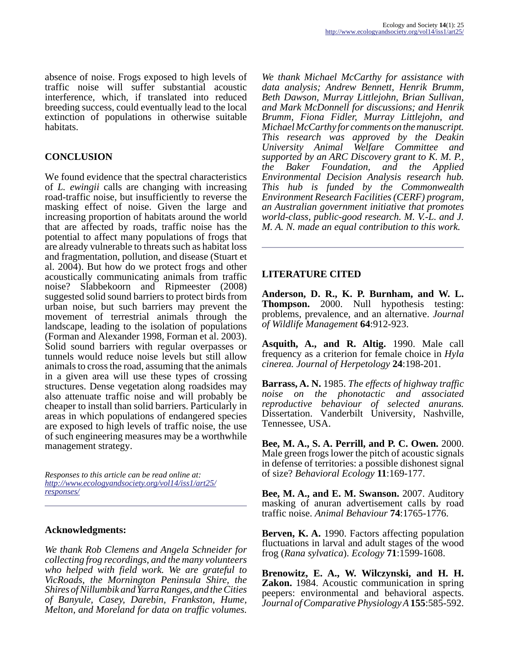absence of noise. Frogs exposed to high levels of traffic noise will suffer substantial acoustic interference, which, if translated into reduced breeding success, could eventually lead to the local extinction of populations in otherwise suitable habitats.

## **CONCLUSION**

We found evidence that the spectral characteristics of *L. ewingii* calls are changing with increasing road-traffic noise, but insufficiently to reverse the masking effect of noise. Given the large and increasing proportion of habitats around the world that are affected by roads, traffic noise has the potential to affect many populations of frogs that are already vulnerable to threats such as habitat loss and fragmentation, pollution, and disease (Stuart et al. 2004). But how do we protect frogs and other acoustically communicating animals from traffic noise? Slabbekoorn and Ripmeester (2008) suggested solid sound barriers to protect birds from urban noise, but such barriers may prevent the movement of terrestrial animals through the landscape, leading to the isolation of populations (Forman and Alexander 1998, Forman et al. 2003). Solid sound barriers with regular overpasses or tunnels would reduce noise levels but still allow animals to cross the road, assuming that the animals in a given area will use these types of crossing structures. Dense vegetation along roadsides may also attenuate traffic noise and will probably be cheaper to install than solid barriers. Particularly in areas in which populations of endangered species are exposed to high levels of traffic noise, the use of such engineering measures may be a worthwhile management strategy.

*Responses to this article can be read online at: [http://www](http://www.ecologyandsociety.org/vol14/iss1/art25/responses/).ecologyandsociety.org/vol14/iss1/art25/ responses/*

#### **Acknowledgments:**

*We thank Rob Clemens and Angela Schneider for collecting frog recordings, and the many volunteers who helped with field work. We are grateful to VicRoads, the Mornington Peninsula Shire, the Shires of Nillumbik and Yarra Ranges, and the Cities of Banyule, Casey, Darebin, Frankston, Hume, Melton, and Moreland for data on traffic volumes.*

*We thank Michael McCarthy for assistance with data analysis; Andrew Bennett, Henrik Brumm, Beth Dawson, Murray Littlejohn, Brian Sullivan, and Mark McDonnell for discussions; and Henrik Brumm, Fiona Fidler, Murray Littlejohn, and Michael McCarthy for comments on the manuscript. This research was approved by the Deakin University Animal Welfare Committee and supported by an ARC Discovery grant to K. M. P., the Baker Foundation, and the Applied Environmental Decision Analysis research hub. This hub is funded by the Commonwealth Environment Research Facilities (CERF) program, an Australian government initiative that promotes world-class, public-good research. M. V.-L. and J. M. A. N. made an equal contribution to this work.* 

## **LITERATURE CITED**

**Anderson, D. R., K. P. Burnham, and W. L. Thompson.** 2000. Null hypothesis testing: problems, prevalence, and an alternative. *Journal of Wildlife Management* **64**:912-923.

**Asquith, A., and R. Altig.** 1990. Male call frequency as a criterion for female choice in *Hyla cinerea. Journal of Herpetology* **24**:198-201.

**Barrass, A. N.** 1985. *The effects of highway traffic noise on the phonotactic and associated reproductive behaviour of selected anurans.* Dissertation. Vanderbilt University, Nashville, Tennessee, USA.

**Bee, M. A., S. A. Perrill, and P. C. Owen.** 2000. Male green frogs lower the pitch of acoustic signals in defense of territories: a possible dishonest signal of size? *Behavioral Ecology* **11**:169-177.

**Bee, M. A., and E. M. Swanson.** 2007. Auditory masking of anuran advertisement calls by road traffic noise. *Animal Behaviour* **74**:1765-1776.

**Berven, K. A.** 1990. Factors affecting population fluctuations in larval and adult stages of the wood frog (*Rana sylvatica*). *Ecology* **71**:1599-1608.

**Brenowitz, E. A., W. Wilczynski, and H. H. Zakon.** 1984. Acoustic communication in spring peepers: environmental and behavioral aspects. *Journal of Comparative Physiology A***155**:585-592.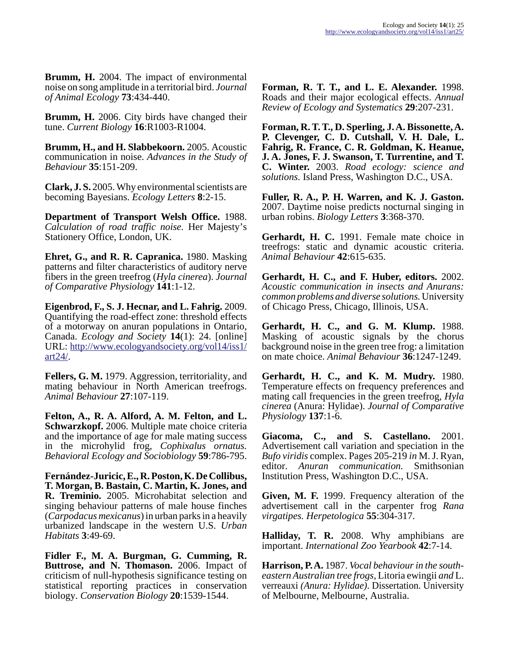**Brumm, H.** 2004. The impact of environmental noise on song amplitude in a territorial bird. *Journal of Animal Ecology* **73**:434-440.

**Brumm, H.** 2006. City birds have changed their tune. *Current Biology* **16**:R1003-R1004.

**Brumm, H., and H. Slabbekoorn.** 2005. Acoustic communication in noise. *Advances in the Study of Behaviour* **35**:151-209.

**Clark, J. S.** 2005. Why environmental scientists are becoming Bayesians. *Ecology Letters* **8**:2-15.

**Department of Transport Welsh Office.** 1988. *Calculation of road traffic noise.* Her Majesty's Stationery Office, London, UK.

**Ehret, G., and R. R. Capranica.** 1980. Masking patterns and filter characteristics of auditory nerve fibers in the green treefrog (*Hyla cinerea*). *Journal of Comparative Physiology* **141**:1-12.

**Eigenbrod, F., S. J. Hecnar, and L. Fahrig.** 2009. Quantifying the road-effect zone: threshold effects of a motorway on anuran populations in Ontario, Canada. *Ecology and Society* **14**(1): 24. [online] URL: [http://www.ecologyandsociety.org/vol14/iss1/](http://www.ecologyandsociety.org/vol14/iss1/art24/) [art24/.](http://www.ecologyandsociety.org/vol14/iss1/art24/)

**Fellers, G. M.** 1979. Aggression, territoriality, and mating behaviour in North American treefrogs. *Animal Behaviour* **27**:107-119.

**Felton, A., R. A. Alford, A. M. Felton, and L. Schwarzkopf.** 2006. Multiple mate choice criteria and the importance of age for male mating success in the microhylid frog, *Cophixalus ornatus. Behavioral Ecology and Sociobiology* **59**:786-795.

**Fernández-Juricic, E., R. Poston, K. De Collibus, T. Morgan, B. Bastain, C. Martin, K. Jones, and R. Treminio.** 2005. Microhabitat selection and singing behaviour patterns of male house finches (*Carpodacus mexicanus*) in urban parks in a heavily urbanized landscape in the western U.S. *Urban Habitats* **3**:49-69.

**Fidler F., M. A. Burgman, G. Cumming, R. Buttrose, and N. Thomason.** 2006. Impact of criticism of null-hypothesis significance testing on statistical reporting practices in conservation biology. *Conservation Biology* **20**:1539-1544.

**Forman, R. T. T., and L. E. Alexander.** 1998. Roads and their major ecological effects. *Annual Review of Ecology and Systematics* **29**:207-231.

**Forman, R. T. T., D. Sperling, J. A. Bissonette, A. P. Clevenger, C. D. Cutshall, V. H. Dale, L. Fahrig, R. France, C. R. Goldman, K. Heanue, J. A. Jones, F. J. Swanson, T. Turrentine, and T. C. Winter.** 2003. *Road ecology: science and solutions.* Island Press, Washington D.C., USA.

**Fuller, R. A., P. H. Warren, and K. J. Gaston.** 2007. Daytime noise predicts nocturnal singing in urban robins. *Biology Letters* **3**:368-370.

**Gerhardt, H. C.** 1991. Female mate choice in treefrogs: static and dynamic acoustic criteria. *Animal Behaviour* **42**:615-635.

**Gerhardt, H. C., and F. Huber, editors.** 2002. *Acoustic communication in insects and Anurans: common problems and diverse solutions.* University of Chicago Press, Chicago, Illinois, USA.

**Gerhardt, H. C., and G. M. Klump.** 1988. Masking of acoustic signals by the chorus background noise in the green tree frog: a limitation on mate choice. *Animal Behaviour* **36**:1247-1249.

**Gerhardt, H. C., and K. M. Mudry.** 1980. Temperature effects on frequency preferences and mating call frequencies in the green treefrog, *Hyla cinerea* (Anura: Hylidae). *Journal of Comparative Physiology* **137**:1-6.

**Giacoma, C., and S. Castellano.** 2001. Advertisement call variation and speciation in the *Bufo viridis* complex. Pages 205-219 *in* M. J. Ryan, editor. *Anuran communication.* Smithsonian Institution Press, Washington D.C., USA.

**Given, M. F.** 1999. Frequency alteration of the advertisement call in the carpenter frog *Rana virgatipes. Herpetologica* **55**:304-317.

**Halliday, T. R.** 2008. Why amphibians are important. *International Zoo Yearbook* **42**:7-14.

**Harrison, P. A.** 1987. *Vocal behaviour in the southeastern Australian tree frogs,* Litoria ewingii *and* L. verreauxi *(Anura: Hylidae)*. Dissertation. University of Melbourne, Melbourne, Australia.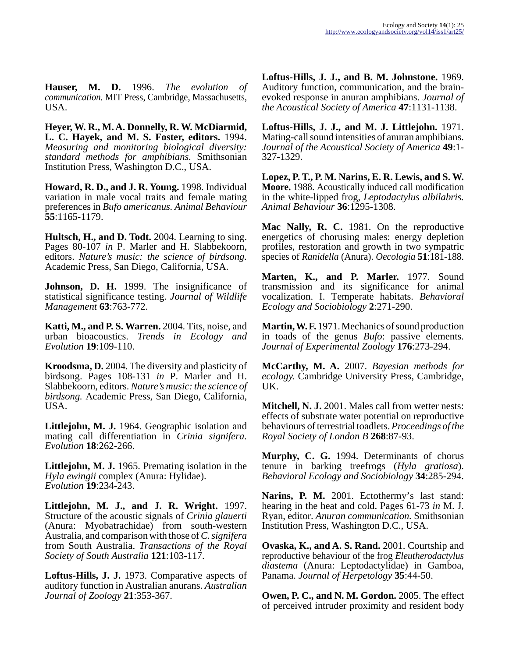**Hauser, M. D.** 1996. *The evolution of communication.* MIT Press, Cambridge, Massachusetts, USA.

**Heyer, W. R., M. A. Donnelly, R. W. McDiarmid, L. C. Hayek, and M. S. Foster, editors.** 1994. *Measuring and monitoring biological diversity: standard methods for amphibians.* Smithsonian Institution Press, Washington D.C., USA.

**Howard, R. D., and J. R. Young.** 1998. Individual variation in male vocal traits and female mating preferences in *Bufo americanus. Animal Behaviour* **55**:1165-1179.

**Hultsch, H., and D. Todt.** 2004. Learning to sing. Pages 80-107 *in* P. Marler and H. Slabbekoorn, editors. *Nature's music: the science of birdsong.* Academic Press, San Diego, California, USA.

**Johnson, D. H.** 1999. The insignificance of statistical significance testing. *Journal of Wildlife Management* **63**:763-772.

**Katti, M., and P. S. Warren.** 2004. Tits, noise, and urban bioacoustics. *Trends in Ecology and Evolution* **19**:109-110.

**Kroodsma, D.** 2004. The diversity and plasticity of birdsong. Pages 108-131 *in* P. Marler and H. Slabbekoorn, editors. *Nature's music: the science of birdsong.* Academic Press, San Diego, California, USA.

**Littlejohn, M. J.** 1964. Geographic isolation and mating call differentiation in *Crinia signifera. Evolution* **18**:262-266.

**Littlejohn, M. J.** 1965. Premating isolation in the *Hyla ewingii* complex (Anura: Hylidae). *Evolution* **19**:234-243.

**Littlejohn, M. J., and J. R. Wright.** 1997. Structure of the acoustic signals of *Crinia glauerti* (Anura: Myobatrachidae) from south-western Australia, and comparison with those of *C. signifera* from South Australia. *Transactions of the Royal Society of South Australia* **121**:103-117.

**Loftus-Hills, J. J.** 1973. Comparative aspects of auditory function in Australian anurans. *Australian Journal of Zoology* **21**:353-367.

**Loftus-Hills, J. J., and B. M. Johnstone.** 1969. Auditory function, communication, and the brainevoked response in anuran amphibians. *Journal of the Acoustical Society of America* **47**:1131-1138.

**Loftus-Hills, J. J., and M. J. Littlejohn.** 1971. Mating-call sound intensities of anuran amphibians. *Journal of the Acoustical Society of America* **49**:1- 327-1329.

**Lopez, P. T., P. M. Narins, E. R. Lewis, and S. W. Moore.** 1988. Acoustically induced call modification in the white-lipped frog, *Leptodactylus albilabris. Animal Behaviour* **36**:1295-1308.

**Mac Nally, R. C.** 1981. On the reproductive energetics of chorusing males: energy depletion profiles, restoration and growth in two sympatric species of *Ranidella* (Anura). *Oecologia* **51**:181-188.

**Marten, K., and P. Marler.** 1977. Sound transmission and its significance for animal vocalization. I. Temperate habitats. *Behavioral Ecology and Sociobiology* **2**:271-290.

**Martin, W. F.** 1971. Mechanics of sound production in toads of the genus *Bufo*: passive elements. *Journal of Experimental Zoology* **176**:273-294.

**McCarthy, M. A.** 2007. *Bayesian methods for ecology.* Cambridge University Press, Cambridge, UK.

**Mitchell, N. J.** 2001. Males call from wetter nests: effects of substrate water potential on reproductive behaviours of terrestrial toadlets. *Proceedings of the Royal Society of London B* **268**:87-93.

**Murphy, C. G.** 1994. Determinants of chorus tenure in barking treefrogs (*Hyla gratiosa*). *Behavioral Ecology and Sociobiology* **34**:285-294.

**Narins, P. M.** 2001. Ectothermy's last stand: hearing in the heat and cold. Pages 61-73 *in* M. J. Ryan, editor. *Anuran communication.* Smithsonian Institution Press, Washington D.C., USA.

**Ovaska, K., and A. S. Rand.** 2001. Courtship and reproductive behaviour of the frog *Eleutherodactylus diastema* (Anura: Leptodactylidae) in Gamboa, Panama. *Journal of Herpetology* **35**:44-50.

**Owen, P. C., and N. M. Gordon.** 2005. The effect of perceived intruder proximity and resident body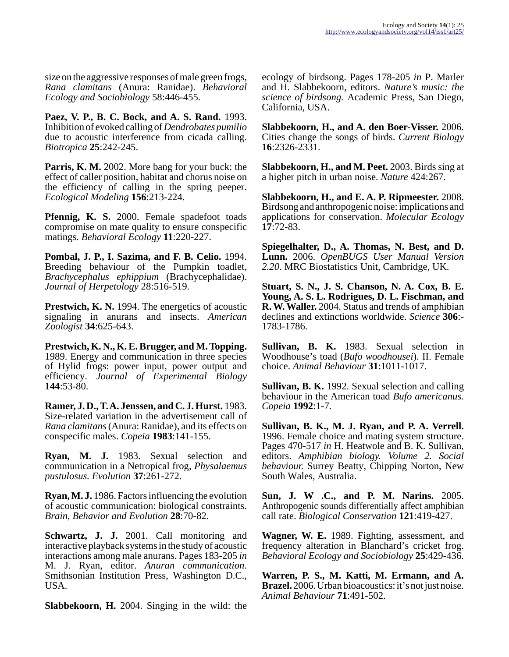size on the aggressive responses of male green frogs, *Rana clamitans* (Anura: Ranidae). *Behavioral Ecology and Sociobiology* 58:446-455.

**Paez, V. P., B. C. Bock, and A. S. Rand.** 1993. Inhibition of evoked calling of *Dendrobates pumilio* due to acoustic interference from cicada calling. *Biotropica* **25**:242-245.

**Parris, K. M.** 2002. More bang for your buck: the effect of caller position, habitat and chorus noise on the efficiency of calling in the spring peeper. *Ecological Modeling* **156**:213-224.

**Pfennig, K. S.** 2000. Female spadefoot toads compromise on mate quality to ensure conspecific matings. *Behavioral Ecology* **11**:220-227.

**Pombal, J. P., I. Sazima, and F. B. Celio.** 1994. Breeding behaviour of the Pumpkin toadlet, *Brachycephalus ephippium* (Brachycephalidae). *Journal of Herpetology* 28:516-519.

**Prestwich, K. N. 1994.** The energetics of acoustic signaling in anurans and insects. *American Zoologist* **34**:625-643.

**Prestwich, K. N., K. E. Brugger, and M. Topping.** 1989. Energy and communication in three species of Hylid frogs: power input, power output and efficiency. *Journal of Experimental Biology* **144**:53-80.

**Ramer, J. D., T. A. Jenssen, and C. J. Hurst.** 1983. Size-related variation in the advertisement call of *Rana clamitans* (Anura: Ranidae), and its effects on conspecific males. *Copeia* **1983**:141-155.

**Ryan, M. J.** 1983. Sexual selection and communication in a Netropical frog, *Physalaemus pustulosus. Evolution* **37**:261-272.

**Ryan, M. J.** 1986. Factors influencing the evolution of acoustic communication: biological constraints. *Brain, Behavior and Evolution* **28**:70-82.

**Schwartz, J. J.** 2001. Call monitoring and interactive playback systems in the study of acoustic interactions among male anurans. Pages 183-205 *in* M. J. Ryan, editor. *Anuran communication.* Smithsonian Institution Press, Washington D.C., USA.

**Slabbekoorn, H.** 2004. Singing in the wild: the

ecology of birdsong. Pages 178-205 *in* P. Marler and H. Slabbekoorn, editors. *Nature's music: the science of birdsong.* Academic Press, San Diego, California, USA.

**Slabbekoorn, H., and A. den Boer-Visser.** 2006. Cities change the songs of birds. *Current Biology* **16**:2326-2331.

**Slabbekoorn, H., and M. Peet.** 2003. Birds sing at a higher pitch in urban noise. *Nature* 424:267.

**Slabbekoorn, H., and E. A. P. Ripmeester.** 2008. Birdsong and anthropogenic noise: implications and applications for conservation. *Molecular Ecology* **17**:72-83.

**Spiegelhalter, D., A. Thomas, N. Best, and D. Lunn.** 2006. *OpenBUGS User Manual Version 2.20*. MRC Biostatistics Unit, Cambridge, UK.

**Stuart, S. N., J. S. Chanson, N. A. Cox, B. E. Young, A. S. L. Rodrigues, D. L. Fischman, and R. W. Waller.** 2004. Status and trends of amphibian declines and extinctions worldwide. *Science* **306**:- 1783-1786.

**Sullivan, B. K.** 1983. Sexual selection in Woodhouse's toad (*Bufo woodhousei*). II. Female choice. *Animal Behaviour* **31**:1011-1017.

**Sullivan, B. K.** 1992. Sexual selection and calling behaviour in the American toad *Bufo americanus. Copeia* **1992**:1-7.

**Sullivan, B. K., M. J. Ryan, and P. A. Verrell.** 1996. Female choice and mating system structure. Pages 470-517 *in* H. Heatwole and B. K. Sullivan, editors. *Amphibian biology. Volume 2. Social behaviour.* Surrey Beatty, Chipping Norton, New South Wales, Australia.

**Sun, J. W .C., and P. M. Narins.** 2005. Anthropogenic sounds differentially affect amphibian call rate. *Biological Conservation* **121**:419-427.

**Wagner, W. E.** 1989. Fighting, assessment, and frequency alteration in Blanchard's cricket frog. *Behavioral Ecology and Sociobiology* **25**:429-436.

**Warren, P. S., M. Katti, M. Ermann, and A. Brazel.** 2006. Urban bioacoustics: it's not just noise. *Animal Behaviour* **71**:491-502.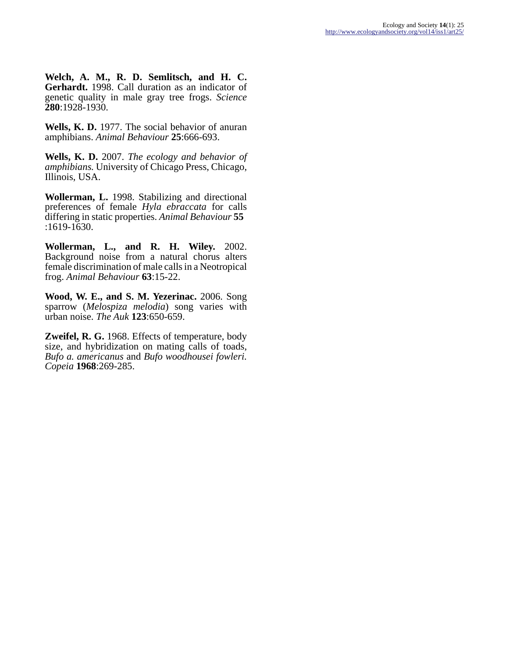**Welch, A. M., R. D. Semlitsch, and H. C. Gerhardt.** 1998. Call duration as an indicator of genetic quality in male gray tree frogs. *Science* **280**:1928-1930.

**Wells, K. D.** 1977. The social behavior of anuran amphibians. *Animal Behaviour* **25**:666-693.

**Wells, K. D.** 2007. *The ecology and behavior of amphibians.* University of Chicago Press, Chicago, Illinois, USA.

**Wollerman, L.** 1998. Stabilizing and directional preferences of female *Hyla ebraccata* for calls differing in static properties. *Animal Behaviour* **55** :1619-1630.

**Wollerman, L., and R. H. Wiley.** 2002. Background noise from a natural chorus alters female discrimination of male calls in a Neotropical frog. *Animal Behaviour* **63**:15-22.

**Wood, W. E., and S. M. Yezerinac.** 2006. Song sparrow (*Melospiza melodia*) song varies with urban noise. *The Auk* **123**:650-659.

**Zweifel, R. G.** 1968. Effects of temperature, body size, and hybridization on mating calls of toads, *Bufo a. americanus* and *Bufo woodhousei fowleri. Copeia* **1968**:269-285.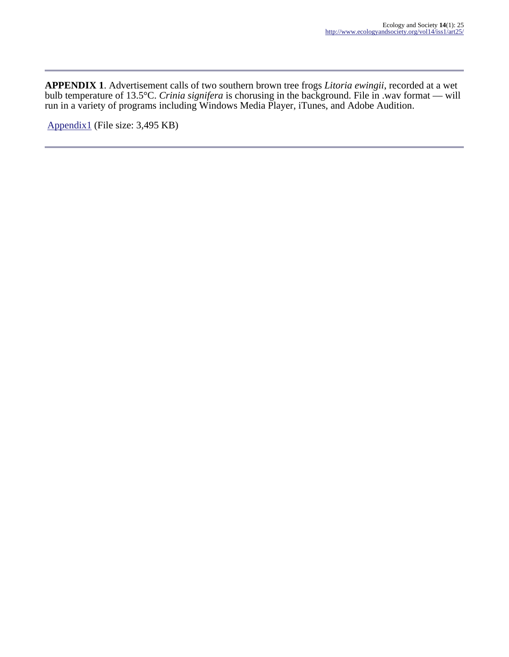**APPENDIX 1**. Advertisement calls of two southern brown tree frogs *Litoria ewingii*, recorded at a wet bulb temperature of 13.5°C. *Crinia signifera* is chorusing in the background. File in .wav format — will run in a variety of programs including Windows Media Player, iTunes, and Adobe Audition.

[Appendix1](http://www.ecologyandsociety.org/2687/appendix1.wav) (File size: 3,495 KB)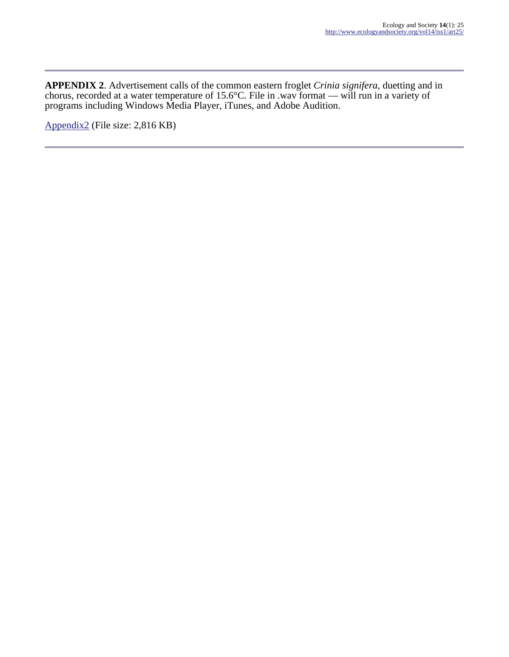**APPENDIX 2**. Advertisement calls of the common eastern froglet *Crinia signifera*, duetting and in chorus, recorded at a water temperature of 15.6°C. File in .wav format — will run in a variety of programs including Windows Media Player, iTunes, and Adobe Audition.

[Appendix2](http://www.ecologyandsociety.org/2687/appendix2.wav) (File size: 2,816 KB)